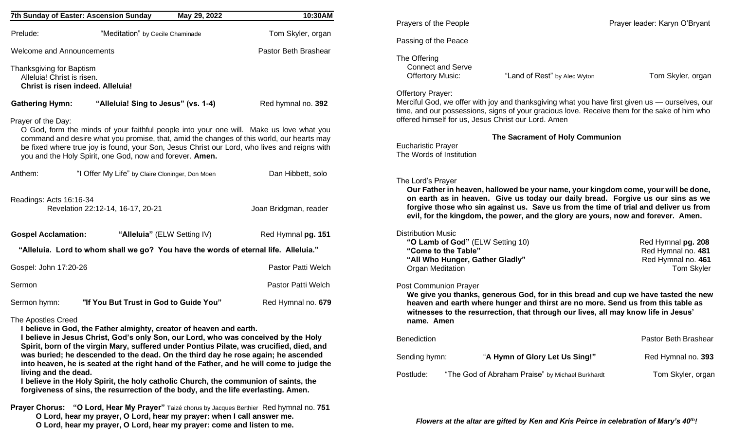|                                                                                                                                                                                                                                                                                                                                                                                                                                                                                           | 7th Sunday of Easter: Ascension Sunday          | May 29, 2022 | 10:30AM               |  |
|-------------------------------------------------------------------------------------------------------------------------------------------------------------------------------------------------------------------------------------------------------------------------------------------------------------------------------------------------------------------------------------------------------------------------------------------------------------------------------------------|-------------------------------------------------|--------------|-----------------------|--|
| Prelude:                                                                                                                                                                                                                                                                                                                                                                                                                                                                                  | "Meditation" by Cecile Chaminade                |              | Tom Skyler, organ     |  |
| <b>Welcome and Announcements</b>                                                                                                                                                                                                                                                                                                                                                                                                                                                          |                                                 |              | Pastor Beth Brashear  |  |
| Thanksgiving for Baptism<br>Alleluia! Christ is risen.                                                                                                                                                                                                                                                                                                                                                                                                                                    | Christ is risen indeed. Alleluia!               |              |                       |  |
| <b>Gathering Hymn:</b>                                                                                                                                                                                                                                                                                                                                                                                                                                                                    | "Alleluia! Sing to Jesus" (vs. 1-4)             |              | Red hymnal no. 392    |  |
| Prayer of the Day:<br>O God, form the minds of your faithful people into your one will. Make us love what you<br>command and desire what you promise, that, amid the changes of this world, our hearts may<br>be fixed where true joy is found, your Son, Jesus Christ our Lord, who lives and reigns with<br>you and the Holy Spirit, one God, now and forever. Amen.                                                                                                                    |                                                 |              |                       |  |
| Anthem:                                                                                                                                                                                                                                                                                                                                                                                                                                                                                   | "I Offer My Life" by Claire Cloninger, Don Moen |              | Dan Hibbett, solo     |  |
| Readings: Acts 16:16-34                                                                                                                                                                                                                                                                                                                                                                                                                                                                   | Revelation 22:12-14, 16-17, 20-21               |              | Joan Bridgman, reader |  |
| <b>Gospel Acclamation:</b>                                                                                                                                                                                                                                                                                                                                                                                                                                                                | "Alleluia" (ELW Setting IV)                     |              | Red Hymnal pg. 151    |  |
| "Alleluia. Lord to whom shall we go? You have the words of eternal life. Alleluia."                                                                                                                                                                                                                                                                                                                                                                                                       |                                                 |              |                       |  |
| Gospel: John 17:20-26                                                                                                                                                                                                                                                                                                                                                                                                                                                                     |                                                 |              | Pastor Patti Welch    |  |
| Sermon                                                                                                                                                                                                                                                                                                                                                                                                                                                                                    |                                                 |              | Pastor Patti Welch    |  |
| Sermon hymn:                                                                                                                                                                                                                                                                                                                                                                                                                                                                              | "If You But Trust in God to Guide You"          |              | Red Hymnal no. 679    |  |
| The Apostles Creed<br>I believe in God, the Father almighty, creator of heaven and earth.<br>I believe in Jesus Christ, God's only Son, our Lord, who was conceived by the Holy<br>Spirit, born of the virgin Mary, suffered under Pontius Pilate, was crucified, died, and<br>was buried; he descended to the dead. On the third day he rose again; he ascended<br>into heaven, he is seated at the right hand of the Father, and he will come to judge the<br>living and the dead.<br>. |                                                 |              |                       |  |

**I believe in the Holy Spirit, the holy catholic Church, the communion of saints, the forgiveness of sins, the resurrection of the body, and the life everlasting. Amen.**

**Prayer Chorus: "O Lord, Hear My Prayer"** Taizé chorus by Jacques Berthier Red hymnal no. **751 O Lord, hear my prayer, O Lord, hear my prayer: when I call answer me. O Lord, hear my prayer, O Lord, hear my prayer: come and listen to me.**

| Prayers of the People                                                                                                                                                                                                                                                                                                                                                   |                                                                              | Prayer leader: Karyn O'Bryant |  |  |
|-------------------------------------------------------------------------------------------------------------------------------------------------------------------------------------------------------------------------------------------------------------------------------------------------------------------------------------------------------------------------|------------------------------------------------------------------------------|-------------------------------|--|--|
| Passing of the Peace                                                                                                                                                                                                                                                                                                                                                    |                                                                              |                               |  |  |
| The Offering<br><b>Connect and Serve</b><br><b>Offertory Music:</b>                                                                                                                                                                                                                                                                                                     | "Land of Rest" by Alec Wyton                                                 | Tom Skyler, organ             |  |  |
| <b>Offertory Prayer:</b><br>Merciful God, we offer with joy and thanksgiving what you have first given us — ourselves, our<br>time, and our possessions, signs of your gracious love. Receive them for the sake of him who<br>offered himself for us, Jesus Christ our Lord. Amen                                                                                       |                                                                              |                               |  |  |
| The Sacrament of Holy Communion                                                                                                                                                                                                                                                                                                                                         |                                                                              |                               |  |  |
| <b>Eucharistic Prayer</b><br>The Words of Institution                                                                                                                                                                                                                                                                                                                   |                                                                              |                               |  |  |
|                                                                                                                                                                                                                                                                                                                                                                         |                                                                              |                               |  |  |
| The Lord's Prayer<br>Our Father in heaven, hallowed be your name, your kingdom come, your will be done,<br>on earth as in heaven. Give us today our daily bread. Forgive us our sins as we<br>forgive those who sin against us. Save us from the time of trial and deliver us from<br>evil, for the kingdom, the power, and the glory are yours, now and forever. Amen. |                                                                              |                               |  |  |
| <b>Distribution Music</b><br>"O Lamb of God" (ELW Setting 10)<br>"Come to the Table"<br>"All Who Hunger, Gather Gladly"<br><b>Organ Meditation</b>                                                                                                                                                                                                                      | Red Hymnal pg. 208<br>Red Hymnal no. 481<br>Red Hymnal no. 461<br>Tom Skyler |                               |  |  |
| <b>Post Communion Prayer</b><br>We give you thanks, generous God, for in this bread and cup we have tasted the new<br>heaven and earth where hunger and thirst are no more. Send us from this table as<br>witnesses to the resurrection, that through our lives, all may know life in Jesus'<br>name. Amen                                                              |                                                                              |                               |  |  |
| Benediction                                                                                                                                                                                                                                                                                                                                                             |                                                                              | Pastor Beth Brashear          |  |  |
| Sending hymn:                                                                                                                                                                                                                                                                                                                                                           | "A Hymn of Glory Let Us Sing!"                                               | Red Hymnal no. 393            |  |  |
| Postlude:                                                                                                                                                                                                                                                                                                                                                               | "The God of Abraham Praise" by Michael Burkhardt                             | Tom Skyler, organ             |  |  |
|                                                                                                                                                                                                                                                                                                                                                                         |                                                                              |                               |  |  |